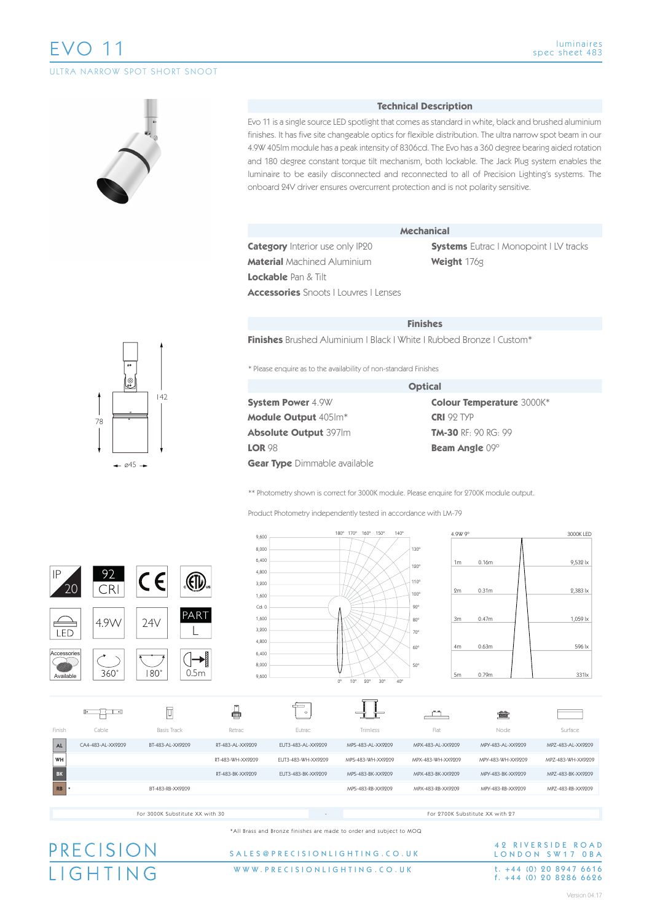# EVO 11

ULTRA NARROW SPOT SHORT SNOOT



#### **Technical Description**

Evo 11 is a single source LED spotlight that comes as standard in white, black and brushed aluminium finishes. It has five site changeable optics for flexible distribution. The ultra narrow spot beam in our 4.9W 405lm module has a peak intensity of 8306cd. The Evo has a 360 degree bearing aided rotation and 180 degree constant torque tilt mechanism, both lockable. The Jack Plug system enables the luminaire to be easily disconnected and reconnected to all of Precision Lighting's systems. The onboard 24V driver ensures overcurrent protection and is not polarity sensitive.

| <b>Category</b> Interior use only IP20 |  |
|----------------------------------------|--|
| <b>Material</b> Machined Aluminium     |  |

**Mechanical**

**Systems** Eutrac | Monopoint | LV tracks **Weight** 176g

**Lockable** Pan & Tilt

**Accessories** Snoots | Louvres | Lenses

|  |  | <b>Finishes</b> |
|--|--|-----------------|
|  |  |                 |

**Finishes** Brushed Aluminium | Black | White | Rubbed Bronze | Custom\*

\* Please enquire as to the availability of non-standard Finishes

|                                     | <b>Optical</b> |
|-------------------------------------|----------------|
| <b>System Power 4.9W</b>            | Co             |
| <b>Module Output 405Im*</b>         | <b>CR</b>      |
| <b>Absolute Output 397Im</b>        | <b>TM</b>      |
| <b>LOR 98</b>                       | <b>Be</b>      |
| <b>Gear Type</b> Dimmable available |                |

**Colour Temperature** 3000K\* **CRI** 92 TYP **TM-30** RF: 90 RG: 99 **Beam Angle** 09º

\*\* Photometry shown is correct for 3000K module. Please enquire for 2700K module output.

Product Photometry independently tested in accordance with LM-79



\*All Brass and Bronze finishes are made to order and subject to MOQ

## PRECISION **IGHTING**

#### WWW.PRECISIONLIGHTING.CO.UK SALES@PRECISIONLIGHTING.CO.U K

## 42 RIVERSIDE ROAD LONDON SW17 OBA t. +44 (0) 20 8947 6616<br>f. +44 (0) 20 8286 6626

142 78  $045 -$ 

luminaires spec sheet 483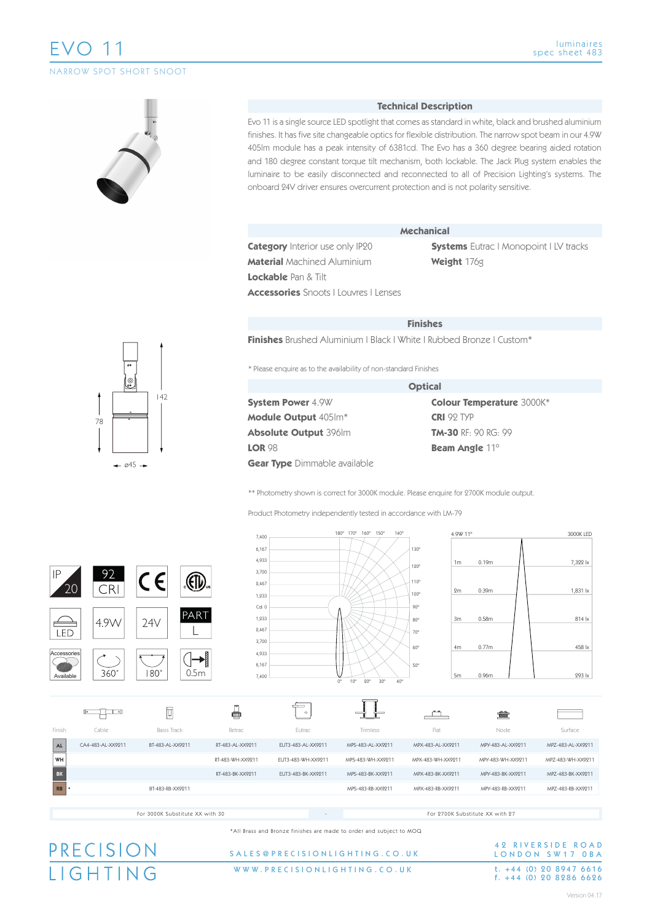# EVO 11

NARROW SPOT SHORT SNOOT

#### luminaires spec sheet 483

#### **Technical Description**

Evo 11 is a single source LED spotlight that comes as standard in white, black and brushed aluminium finishes. It has five site changeable optics for flexible distribution. The narrow spot beam in our 4.9W 405lm module has a peak intensity of 6381cd. The Evo has a 360 degree bearing aided rotation and 180 degree constant torque tilt mechanism, both lockable. The Jack Plug system enables the luminaire to be easily disconnected and reconnected to all of Precision Lighting's systems. The onboard 24V driver ensures overcurrent protection and is not polarity sensitive.

| <b>Category</b> Interior use only IP20 |
|----------------------------------------|
| <b>Material</b> Machined Aluminium     |

**Mechanical**

**Systems** Eutrac | Monopoint | LV tracks **Weight** 176g

**Lockable** Pan & Tilt

**Accessories** Snoots | Louvres | Lenses

|  |  |  | Finisnes |
|--|--|--|----------|

**Finishes** Brushed Aluminium | Black | White | Rubbed Bronze | Custom\*

\* Please enquire as to the availability of non-standard Finishes

|                                     | <b>Optical</b>                   |
|-------------------------------------|----------------------------------|
| <b>System Power 4.9W</b>            | <b>Colour Temperature 3000K*</b> |
| <b>Module Output 405Im*</b>         | <b>CRI</b> 92 TYP                |
| <b>Absolute Output 396Im</b>        | <b>TM-30 RF: 90 RG: 99</b>       |
| <b>LOR 98</b>                       | <b>Beam Angle 11°</b>            |
| <b>Gear Type</b> Dimmable available |                                  |

\*\* Photometry shown is correct for 3000K module. Please enquire for 2700K module output.

Product Photometry independently tested in accordance with LM-79

|             |                   |                                 | 7,400                        |                    | $140^\circ$<br>180° 170°<br>160° 150°                                       | 4.9W 11°                                         |                                 | 3000K LED         |
|-------------|-------------------|---------------------------------|------------------------------|--------------------|-----------------------------------------------------------------------------|--------------------------------------------------|---------------------------------|-------------------|
|             |                   |                                 | 6,167<br>4,933<br>3,700      |                    |                                                                             | 130°<br>1 <sub>m</sub><br>120°                   | 0.19 <sub>m</sub>               | 7,322 lx          |
| IP          | 92<br>CRI         | $\left(\frac{1}{2}\right)$<br>€ | 2,467<br>1,233               |                    |                                                                             | 110°<br>2m<br>100°                               | 0.39m                           | 1,831 lx          |
| LED         | 4.9W              | PART<br>24V                     | Cd:0<br>1,233<br>2,467       |                    |                                                                             | $90^{\circ}$<br>3m<br>$80^\circ$<br>$70^{\circ}$ | 0.58m                           | 814 lx            |
| Accessories |                   |                                 | 3,700<br>ł<br>4,933<br>6,167 |                    |                                                                             | 60°<br>4m<br>$50^\circ$                          | 0.77m                           | 458 lx            |
| Available   | $360^\circ$       | $180^\circ$<br>0.5 <sub>m</sub> | 7,400                        |                    | $0^{\circ}$<br>$10^{\circ}$<br>$20^{\circ}$<br>$30^{\circ}$<br>$40^{\circ}$ | 5m                                               | 0.96m                           | 293 lx            |
|             | ┎<br>IÞ.          | $\Box$                          | ₽                            | $\circ$            |                                                                             |                                                  | 貪                               |                   |
| Finish      | Cable             | <b>Basis Track</b>              | Retrac                       | Eutrac             | Trimless                                                                    | Flat                                             | Node                            | Surface           |
| ${\sf AL}$  | CA4-483-AL-XX9211 | BT-483-AL-XX9211                | RT-483-AL-XX9211             | EUT3-483-AL-XX9211 | MPS-483-AL-XX9211                                                           | MPX-483-AL-XX9211                                | MPY-483-AL-XX9211               | MPZ-483-AL-XX9211 |
| WH          |                   |                                 | RT-483-WH-XX9211             | EUT3-483-WH-XX9211 | MPS-483-WH-XX9211                                                           | MPX-483-WH-XX9211                                | MPY-483-WH-XX9211               | MPZ-483-WH-XX9211 |
| BK          |                   |                                 | RT-483-BK-XX9211             | EUT3-483-BK-XX9211 | MPS-483-BK-XX9211                                                           | MPX-483-BK-XX9211                                | MPY-483-BK-XX9211               | MPZ-483-BK-XX9211 |
| RB          |                   | BT-483-RB-XX9211                |                              |                    | MPS-483-RB-XX9211                                                           | MPX-483-RB-XX9211                                | MPY-483-RB-XX9211               | MPZ-483-RB-XX9211 |
|             |                   |                                 |                              |                    |                                                                             |                                                  |                                 |                   |
|             |                   | For 3000K Substitute XX with 30 |                              |                    |                                                                             |                                                  | For 2700K Substitute XX with 27 |                   |

\*All Brass and Bronze finishes are made to order and subject to MOQ

# PRECISION

#### WWW.PRECISIONLIGHTING.CO.UK SALES@PRECISIONLIGHTING.CO.UK

42 RIVERSIDE ROAD LONDON SW17 OBA t.  $+44$  (0) 20 8947 6616<br>f.  $+44$  (0) 20 8286 6626

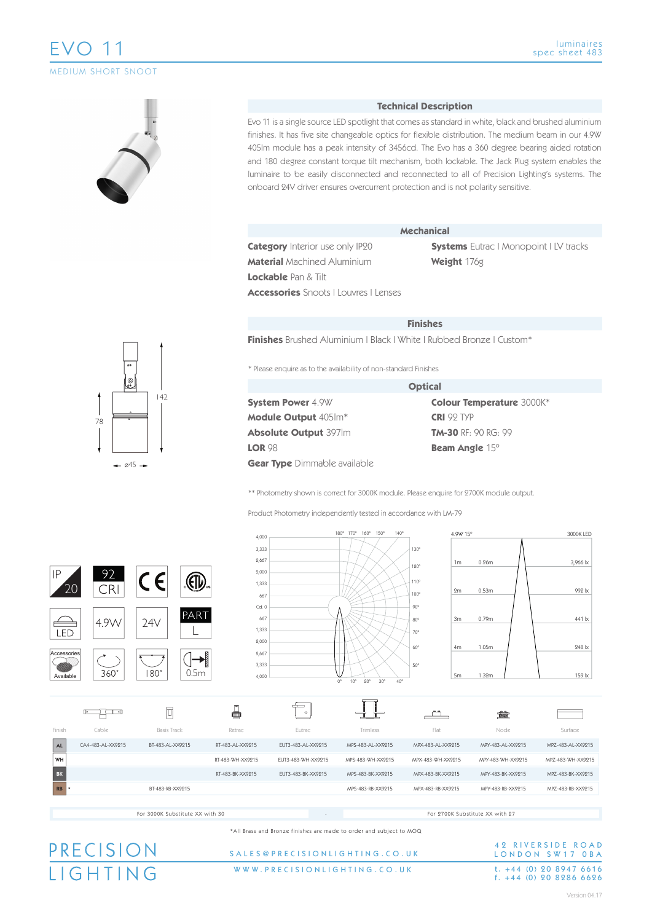## EVO 11 MEDIUM SHORT SNOOT

#### **Technical Description**

Evo 11 is a single source LED spotlight that comes as standard in white, black and brushed aluminium finishes. It has five site changeable optics for flexible distribution. The medium beam in our 4.9W 405lm module has a peak intensity of 3456cd. The Evo has a 360 degree bearing aided rotation and 180 degree constant torque tilt mechanism, both lockable. The Jack Plug system enables the luminaire to be easily disconnected and reconnected to all of Precision Lighting's systems. The onboard 24V driver ensures overcurrent protection and is not polarity sensitive.

| <b>Category</b> Interior use only IP20 |
|----------------------------------------|
| <b>Material</b> Machined Aluminium     |

**Mechanical**

**Systems** Eutrac | Monopoint | LV tracks **Weight** 176g

**Lockable** Pan & Tilt

**Accessories** Snoots | Louvres | Lenses

|  | <b>FINISNES</b> |  |
|--|-----------------|--|
|  |                 |  |

**Optical**

**Finishes** Brushed Aluminium | Black | White | Rubbed Bronze | Custom\*

\* Please enquire as to the availability of non-standard Finishes

|                                     | <b>Optical</b> |
|-------------------------------------|----------------|
| <b>System Power 4.9W</b>            | Сc             |
| <b>Module Output 405Im*</b>         | CR             |
| <b>Absolute Output 397Im</b>        | Т٨             |
| <b>LOR 98</b>                       | Be             |
| <b>Gear Type</b> Dimmable available |                |

**Colour Temperature** 3000K\* **CRI** 92 TYP **TM-30** RF: 90 RG: 99 **Beam Angle** 15º

\*\* Photometry shown is correct for 3000K module. Please enquire for 2700K module output.

Product Photometry independently tested in accordance with LM-79



\*All Brass and Bronze finishes are made to order and subject to MOQ

## PRECISION **IGHTING**

#### WWW.PRECISIONLIGHTING.CO.UK SALES@PRECISIONLIGHTING.CO.U K

## 42 RIVERSIDE ROAD LONDON SW17 OBA t. +44 (0) 20 8947 6616<br>f. +44 (0) 20 8286 6626

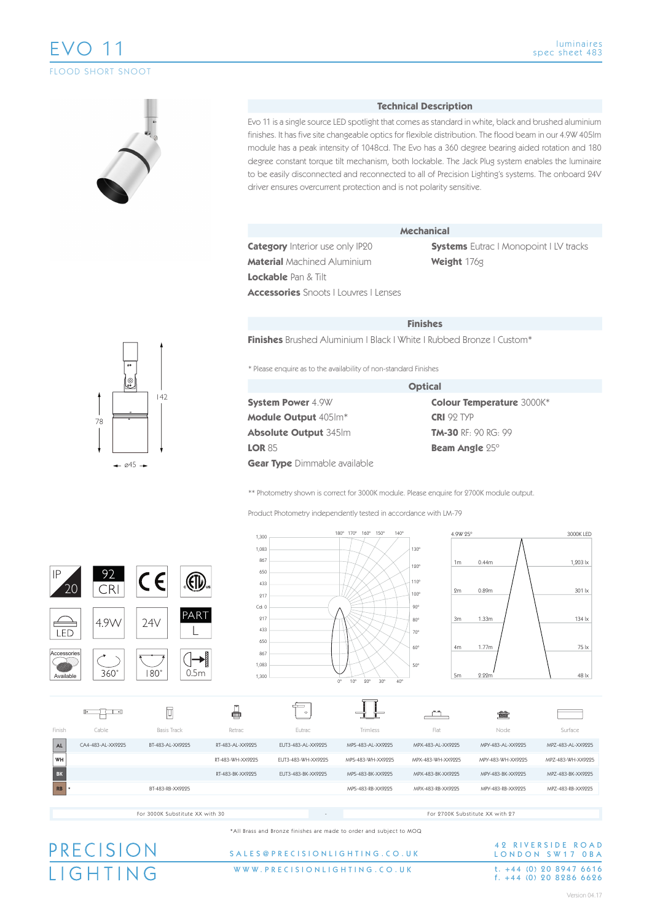## EVO 11 FLOOD SHORT SNOOT



#### **Technical Description**

Evo 11 is a single source LED spotlight that comes as standard in white, black and brushed aluminium finishes. It has five site changeable optics for flexible distribution. The flood beam in our 4.9W 405lm module has a peak intensity of 1048cd. The Evo has a 360 degree bearing aided rotation and 180 degree constant torque tilt mechanism, both lockable. The Jack Plug system enables the luminaire to be easily disconnected and reconnected to all of Precision Lighting's systems. The onboard 24V driver ensures overcurrent protection and is not polarity sensitive.

**Category** Interior use only IP20 **Material** Machined Aluminium

**Mechanical**

**Systems** Eutrac | Monopoint | LV tracks **Weight** 176g

**Lockable** Pan & Tilt

**Accessories** Snoots | Louvres | Lenses

|  |  | <b>Finishes</b> |
|--|--|-----------------|
|  |  |                 |

**Finishes** Brushed Aluminium | Black | White | Rubbed Bronze | Custom\*

\* Please enquire as to the availability of non-standard Finishes

|                                     | <b>Optical</b> |
|-------------------------------------|----------------|
| <b>System Power 4.9W</b>            | Co             |
| <b>Module Output 405Im*</b>         | <b>CR</b>      |
| <b>Absolute Output 345Im</b>        | TM             |
| <b>LOR 85</b>                       | Be             |
| <b>Gear Type</b> Dimmable available |                |

**Colour Temperature** 3000K\* **CRI** 92 TYP **TM-30** RF: 90 RG: 99 **Beam Angle** 25º

\*\* Photometry shown is correct for 3000K module. Please enquire for 2700K module output.

Product Photometry independently tested in accordance with LM-79



\*All Brass and Bronze finishes are made to order and subject to MOQ

## PRECISION **IGHTING**

#### WWW.PRECISIONLIGHTING.CO.UK SALES@PRECISIONLIGHTING.CO.U K

## 42 RIVERSIDE ROAD LONDON SW17 OBA t. +44 (0) 20 8947 6616<br>f. +44 (0) 20 8286 6626



Version 04.17